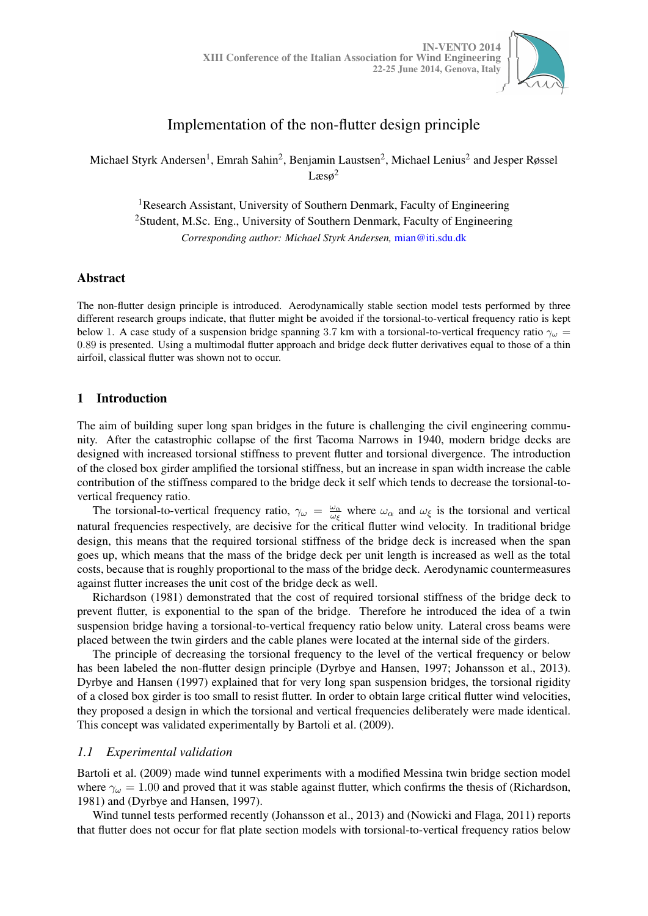

# Implementation of the non-flutter design principle

Michael Styrk Andersen<sup>1</sup>, Emrah Sahin<sup>2</sup>, Benjamin Laustsen<sup>2</sup>, Michael Lenius<sup>2</sup> and Jesper Røssel  $L$ æsø<sup>2</sup>

<sup>1</sup>Research Assistant, University of Southern Denmark, Faculty of Engineering <sup>2</sup>Student, M.Sc. Eng., University of Southern Denmark, Faculty of Engineering *Corresponding author: Michael Styrk Andersen,* [mian@iti.sdu.dk](mailto:mian@iti.sdu.dk)

## Abstract

The non-flutter design principle is introduced. Aerodynamically stable section model tests performed by three different research groups indicate, that flutter might be avoided if the torsional-to-vertical frequency ratio is kept below 1. A case study of a suspension bridge spanning 3.7 km with a torsional-to-vertical frequency ratio  $\gamma_\omega$  = 0.89 is presented. Using a multimodal flutter approach and bridge deck flutter derivatives equal to those of a thin airfoil, classical flutter was shown not to occur.

## 1 Introduction

The aim of building super long span bridges in the future is challenging the civil engineering community. After the catastrophic collapse of the first Tacoma Narrows in 1940, modern bridge decks are designed with increased torsional stiffness to prevent flutter and torsional divergence. The introduction of the closed box girder amplified the torsional stiffness, but an increase in span width increase the cable contribution of the stiffness compared to the bridge deck it self which tends to decrease the torsional-tovertical frequency ratio.

The torsional-to-vertical frequency ratio,  $\gamma_{\omega} = \frac{\omega_{\alpha}}{\omega_{\alpha}}$  $\frac{\omega_{\alpha}}{\omega_{\xi}}$  where  $\omega_{\alpha}$  and  $\omega_{\xi}$  is the torsional and vertical natural frequencies respectively, are decisive for the critical flutter wind velocity. In traditional bridge design, this means that the required torsional stiffness of the bridge deck is increased when the span goes up, which means that the mass of the bridge deck per unit length is increased as well as the total costs, because that is roughly proportional to the mass of the bridge deck. Aerodynamic countermeasures against flutter increases the unit cost of the bridge deck as well.

Richardson [\(1981\)](#page-9-0) demonstrated that the cost of required torsional stiffness of the bridge deck to prevent flutter, is exponential to the span of the bridge. Therefore he introduced the idea of a twin suspension bridge having a torsional-to-vertical frequency ratio below unity. Lateral cross beams were placed between the twin girders and the cable planes were located at the internal side of the girders.

The principle of decreasing the torsional frequency to the level of the vertical frequency or below has been labeled the non-flutter design principle (Dyrbye and Hansen, [1997;](#page-9-1) Johansson et al., [2013\)](#page-9-2). Dyrbye and Hansen [\(1997\)](#page-9-1) explained that for very long span suspension bridges, the torsional rigidity of a closed box girder is too small to resist flutter. In order to obtain large critical flutter wind velocities, they proposed a design in which the torsional and vertical frequencies deliberately were made identical. This concept was validated experimentally by Bartoli et al. [\(2009\)](#page-9-3).

## *1.1 Experimental validation*

Bartoli et al. [\(2009\)](#page-9-3) made wind tunnel experiments with a modified Messina twin bridge section model where  $\gamma_{\omega} = 1.00$  and proved that it was stable against flutter, which confirms the thesis of (Richardson, [1981\)](#page-9-0) and (Dyrbye and Hansen, [1997\)](#page-9-1).

Wind tunnel tests performed recently (Johansson et al., [2013\)](#page-9-2) and (Nowicki and Flaga, [2011\)](#page-9-4) reports that flutter does not occur for flat plate section models with torsional-to-vertical frequency ratios below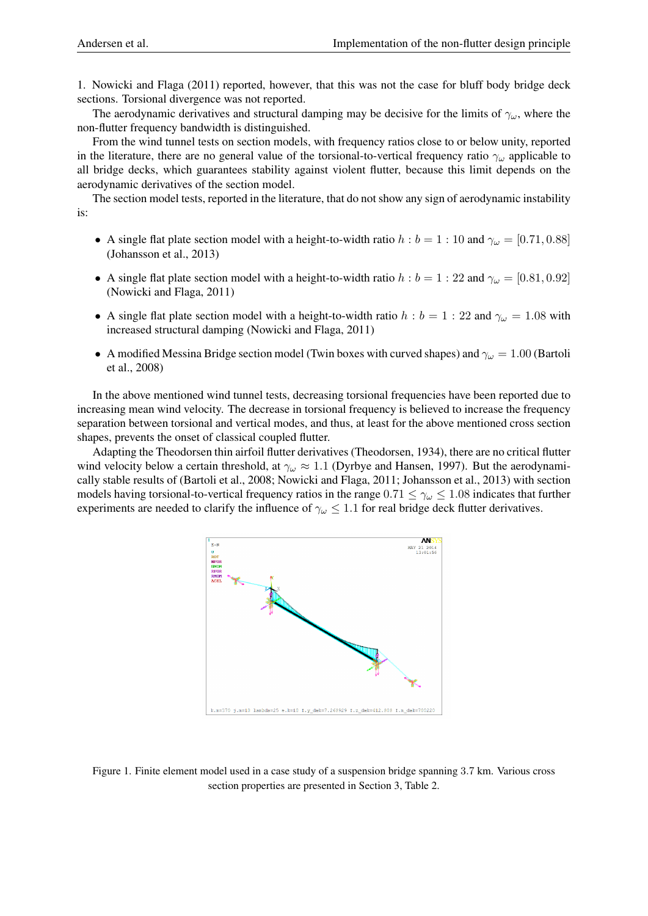1. Nowicki and Flaga [\(2011\)](#page-9-4) reported, however, that this was not the case for bluff body bridge deck sections. Torsional divergence was not reported.

The aerodynamic derivatives and structural damping may be decisive for the limits of  $\gamma_\omega$ , where the non-flutter frequency bandwidth is distinguished.

From the wind tunnel tests on section models, with frequency ratios close to or below unity, reported in the literature, there are no general value of the torsional-to-vertical frequency ratio  $\gamma_\omega$  applicable to all bridge decks, which guarantees stability against violent flutter, because this limit depends on the aerodynamic derivatives of the section model.

The section model tests, reported in the literature, that do not show any sign of aerodynamic instability is:

- A single flat plate section model with a height-to-width ratio  $h : b = 1 : 10$  and  $\gamma_\omega = [0.71, 0.88]$ (Johansson et al., [2013\)](#page-9-2)
- A single flat plate section model with a height-to-width ratio  $h : b = 1 : 22$  and  $\gamma_\omega = [0.81, 0.92]$ (Nowicki and Flaga, [2011\)](#page-9-4)
- A single flat plate section model with a height-to-width ratio  $h : b = 1 : 22$  and  $\gamma_\omega = 1.08$  with increased structural damping (Nowicki and Flaga, [2011\)](#page-9-4)
- A modified Messina Bridge section model (Twin boxes with curved shapes) and  $\gamma_{\omega} = 1.00$  (Bartoli et al., [2008\)](#page-9-5)

In the above mentioned wind tunnel tests, decreasing torsional frequencies have been reported due to increasing mean wind velocity. The decrease in torsional frequency is believed to increase the frequency separation between torsional and vertical modes, and thus, at least for the above mentioned cross section shapes, prevents the onset of classical coupled flutter.

<span id="page-1-0"></span>Adapting the Theodorsen thin airfoil flutter derivatives (Theodorsen, [1934\)](#page-9-6), there are no critical flutter wind velocity below a certain threshold, at  $\gamma_{\omega} \approx 1.1$  (Dyrbye and Hansen, [1997\)](#page-9-1). But the aerodynamically stable results of (Bartoli et al., [2008;](#page-9-5) Nowicki and Flaga, [2011;](#page-9-4) Johansson et al., [2013\)](#page-9-2) with section models having torsional-to-vertical frequency ratios in the range  $0.71 \le \gamma_\omega \le 1.08$  indicates that further experiments are needed to clarify the influence of  $\gamma_\omega \leq 1.1$  for real bridge deck flutter derivatives.



Figure 1. Finite element model used in a case study of a suspension bridge spanning 3.7 km. Various cross section properties are presented in Section [3,](#page-3-0) Table [2.](#page-4-0)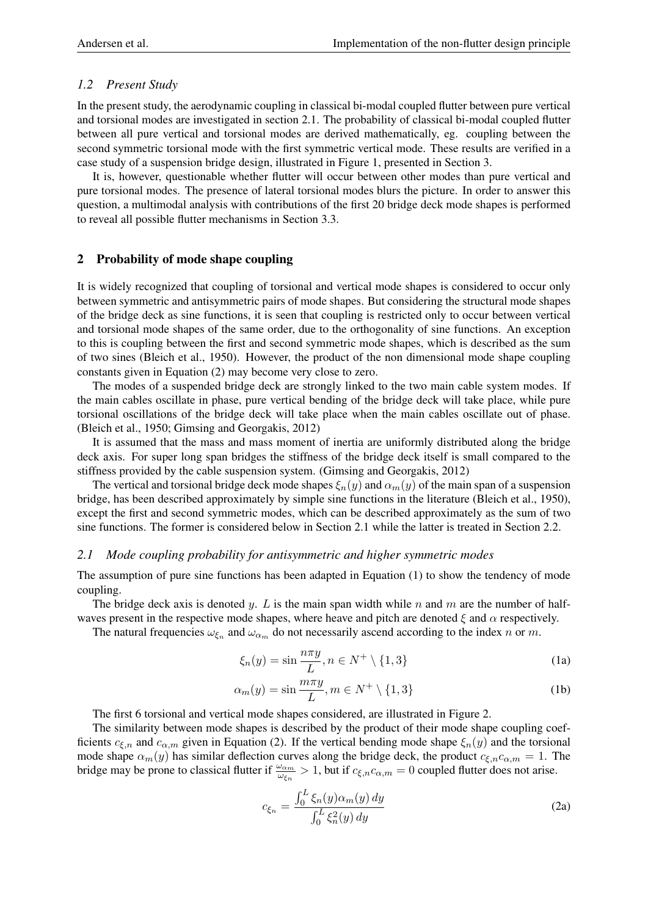#### *1.2 Present Study*

In the present study, the aerodynamic coupling in classical bi-modal coupled flutter between pure vertical and torsional modes are investigated in section [2.1.](#page-2-0) The probability of classical bi-modal coupled flutter between all pure vertical and torsional modes are derived mathematically, eg. coupling between the second symmetric torsional mode with the first symmetric vertical mode. These results are verified in a case study of a suspension bridge design, illustrated in Figure [1,](#page-1-0) presented in Section [3.](#page-3-0)

It is, however, questionable whether flutter will occur between other modes than pure vertical and pure torsional modes. The presence of lateral torsional modes blurs the picture. In order to answer this question, a multimodal analysis with contributions of the first 20 bridge deck mode shapes is performed to reveal all possible flutter mechanisms in Section [3.3.](#page-7-0)

#### <span id="page-2-3"></span>2 Probability of mode shape coupling

It is widely recognized that coupling of torsional and vertical mode shapes is considered to occur only between symmetric and antisymmetric pairs of mode shapes. But considering the structural mode shapes of the bridge deck as sine functions, it is seen that coupling is restricted only to occur between vertical and torsional mode shapes of the same order, due to the orthogonality of sine functions. An exception to this is coupling between the first and second symmetric mode shapes, which is described as the sum of two sines (Bleich et al., [1950\)](#page-9-7). However, the product of the non dimensional mode shape coupling constants given in Equation [\(2\)](#page-2-1) may become very close to zero.

The modes of a suspended bridge deck are strongly linked to the two main cable system modes. If the main cables oscillate in phase, pure vertical bending of the bridge deck will take place, while pure torsional oscillations of the bridge deck will take place when the main cables oscillate out of phase. (Bleich et al., [1950;](#page-9-7) Gimsing and Georgakis, [2012\)](#page-9-8)

It is assumed that the mass and mass moment of inertia are uniformly distributed along the bridge deck axis. For super long span bridges the stiffness of the bridge deck itself is small compared to the stiffness provided by the cable suspension system. (Gimsing and Georgakis, [2012\)](#page-9-8)

The vertical and torsional bridge deck mode shapes  $\xi_n(y)$  and  $\alpha_m(y)$  of the main span of a suspension bridge, has been described approximately by simple sine functions in the literature (Bleich et al., [1950\)](#page-9-7), except the first and second symmetric modes, which can be described approximately as the sum of two sine functions. The former is considered below in Section [2.1](#page-2-0) while the latter is treated in Section [2.2.](#page-3-1)

#### <span id="page-2-0"></span>*2.1 Mode coupling probability for antisymmetric and higher symmetric modes*

The assumption of pure sine functions has been adapted in Equation [\(1\)](#page-2-2) to show the tendency of mode coupling.

The bridge deck axis is denoted y. L is the main span width while n and m are the number of halfwaves present in the respective mode shapes, where heave and pitch are denoted  $\xi$  and  $\alpha$  respectively.

<span id="page-2-2"></span>The natural frequencies  $\omega_{\xi_n}$  and  $\omega_{\alpha_m}$  do not necessarily ascend according to the index n or m.

$$
\xi_n(y) = \sin \frac{n\pi y}{L}, n \in N^+ \setminus \{1, 3\}
$$
 (1a)

$$
\alpha_m(y) = \sin \frac{m\pi y}{L}, m \in N^+ \setminus \{1, 3\}
$$
 (1b)

The first 6 torsional and vertical mode shapes considered, are illustrated in Figure [2.](#page-3-2)

<span id="page-2-1"></span>The similarity between mode shapes is described by the product of their mode shape coupling coefficients  $c_{\xi,n}$  and  $c_{\alpha,m}$  given in Equation [\(2\)](#page-2-1). If the vertical bending mode shape  $\xi_n(y)$  and the torsional mode shape  $\alpha_m(y)$  has similar deflection curves along the bridge deck, the product  $c_{\xi,n}c_{\alpha,m}=1$ . The bridge may be prone to classical flutter if  $\frac{\omega_{\alpha_m}}{\omega_{\xi_n}} > 1$ , but if  $c_{\xi,n} c_{\alpha,m} = 0$  coupled flutter does not arise.

$$
c_{\xi_n} = \frac{\int_0^L \xi_n(y) \alpha_m(y) dy}{\int_0^L \xi_n^2(y) dy}
$$
 (2a)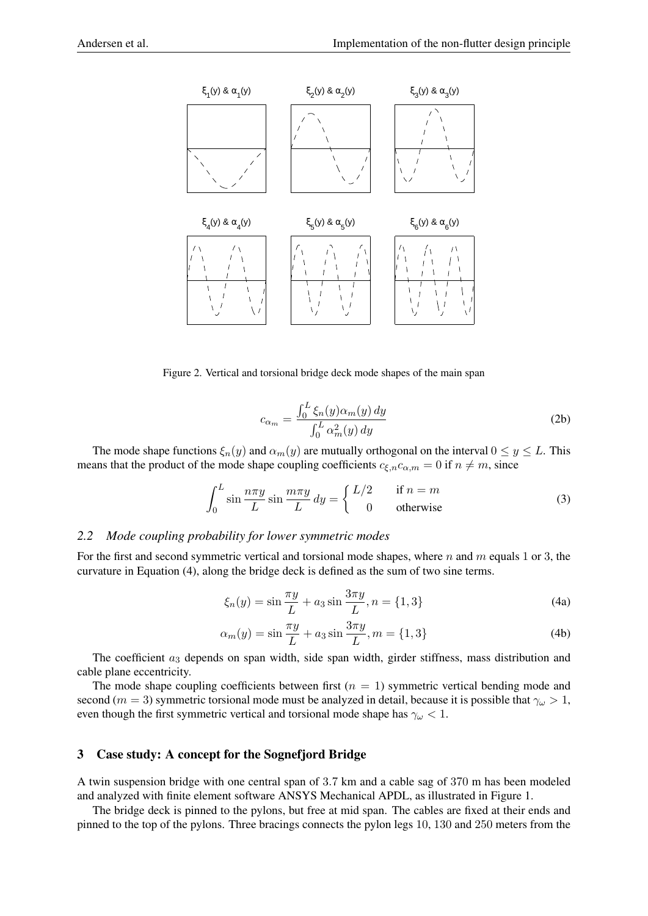<span id="page-3-2"></span>

Figure 2. Vertical and torsional bridge deck mode shapes of the main span

$$
c_{\alpha_m} = \frac{\int_0^L \xi_n(y) \alpha_m(y) dy}{\int_0^L \alpha_m^2(y) dy}
$$
 (2b)

The mode shape functions  $\xi_n(y)$  and  $\alpha_m(y)$  are mutually orthogonal on the interval  $0 \le y \le L$ . This means that the product of the mode shape coupling coefficients  $c_{\xi,n}c_{\alpha,m} = 0$  if  $n \neq m$ , since

$$
\int_0^L \sin \frac{n\pi y}{L} \sin \frac{m\pi y}{L} dy = \begin{cases} L/2 & \text{if } n = m \\ 0 & \text{otherwise} \end{cases}
$$
 (3)

#### <span id="page-3-1"></span>*2.2 Mode coupling probability for lower symmetric modes*

<span id="page-3-3"></span>For the first and second symmetric vertical and torsional mode shapes, where n and m equals 1 or 3, the curvature in Equation [\(4\)](#page-3-3), along the bridge deck is defined as the sum of two sine terms.

$$
\xi_n(y) = \sin \frac{\pi y}{L} + a_3 \sin \frac{3\pi y}{L}, n = \{1, 3\}
$$
 (4a)

$$
\alpha_m(y) = \sin \frac{\pi y}{L} + a_3 \sin \frac{3\pi y}{L}, m = \{1, 3\}
$$
 (4b)

The coefficient  $a_3$  depends on span width, side span width, girder stiffness, mass distribution and cable plane eccentricity.

The mode shape coupling coefficients between first  $(n = 1)$  symmetric vertical bending mode and second (m = 3) symmetric torsional mode must be analyzed in detail, because it is possible that  $\gamma_{\omega} > 1$ , even though the first symmetric vertical and torsional mode shape has  $\gamma_{\omega} < 1$ .

#### <span id="page-3-0"></span>3 Case study: A concept for the Sognefjord Bridge

A twin suspension bridge with one central span of 3.7 km and a cable sag of 370 m has been modeled and analyzed with finite element software ANSYS Mechanical APDL, as illustrated in Figure [1.](#page-1-0)

The bridge deck is pinned to the pylons, but free at mid span. The cables are fixed at their ends and pinned to the top of the pylons. Three bracings connects the pylon legs 10, 130 and 250 meters from the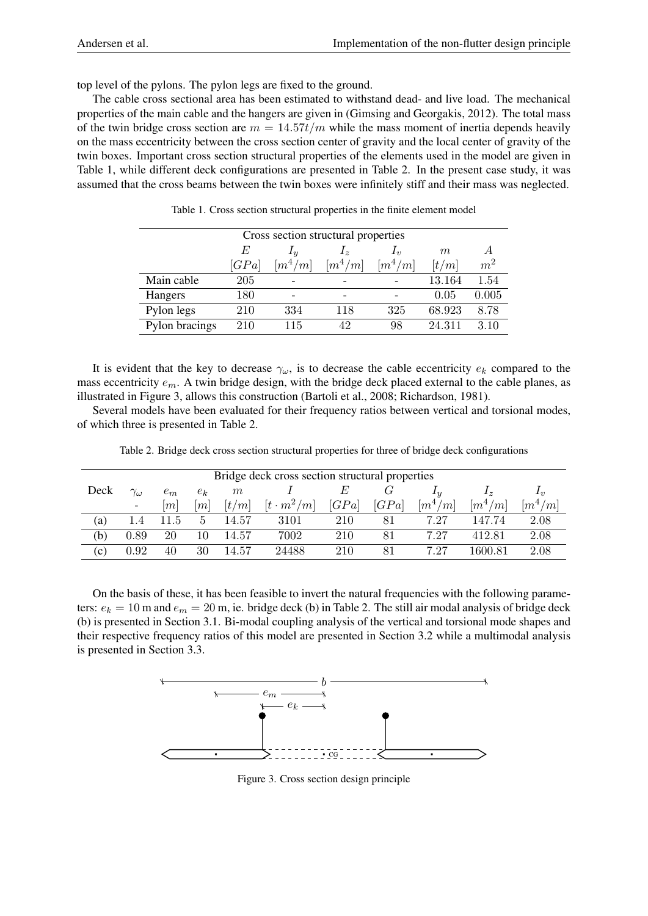top level of the pylons. The pylon legs are fixed to the ground.

The cable cross sectional area has been estimated to withstand dead- and live load. The mechanical properties of the main cable and the hangers are given in (Gimsing and Georgakis, [2012\)](#page-9-8). The total mass of the twin bridge cross section are  $m = 14.57t/m$  while the mass moment of inertia depends heavily on the mass eccentricity between the cross section center of gravity and the local center of gravity of the twin boxes. Important cross section structural properties of the elements used in the model are given in Table [1,](#page-4-1) while different deck configurations are presented in Table [2.](#page-4-0) In the present case study, it was assumed that the cross beams between the twin boxes were infinitely stiff and their mass was neglected.

<span id="page-4-1"></span>

|                | Cross section structural properties                                                                                                                                                                                                                                  |                      |              |            |        |       |  |  |  |  |
|----------------|----------------------------------------------------------------------------------------------------------------------------------------------------------------------------------------------------------------------------------------------------------------------|----------------------|--------------|------------|--------|-------|--|--|--|--|
|                | E                                                                                                                                                                                                                                                                    | $\mathbf{1}_y$       | $1_{\alpha}$ | $I_{\eta}$ | $m\,$  |       |  |  |  |  |
|                | $[GPa]% \centering \subfloat[\centering]{{\includegraphics[scale=0.2]{img8.png} }}% \qquad \subfloat[\centering]{{\includegraphics[scale=0.2]{img9.png} }}% \caption{(Adaptive image) Set size produced in our classification example (panel left). } \label{fig:3}$ | $\left[m^4/m\right]$ | $[m^4/m]$    | $[m^4/m]$  | [t/m]  | $m^2$ |  |  |  |  |
| Main cable     | 205                                                                                                                                                                                                                                                                  |                      |              |            | 13.164 | 1.54  |  |  |  |  |
| Hangers        | 180                                                                                                                                                                                                                                                                  |                      |              |            | 0.05   | 0.005 |  |  |  |  |
| Pylon legs     | 210                                                                                                                                                                                                                                                                  | 334                  | 118          | 325        | 68.923 | 8.78  |  |  |  |  |
| Pylon bracings | 210                                                                                                                                                                                                                                                                  | 115                  | 42           | 98         | 24.311 | 3.10  |  |  |  |  |

Table 1. Cross section structural properties in the finite element model

It is evident that the key to decrease  $\gamma_{\omega}$ , is to decrease the cable eccentricity  $e_k$  compared to the mass eccentricity  $e_m$ . A twin bridge design, with the bridge deck placed external to the cable planes, as illustrated in Figure [3,](#page-4-2) allows this construction (Bartoli et al., [2008;](#page-9-5) Richardson, [1981\)](#page-9-0).

Several models have been evaluated for their frequency ratios between vertical and torsional modes, of which three is presented in Table [2.](#page-4-0)

<span id="page-4-0"></span>

| Bridge deck cross section structural properties |                          |                |            |       |                   |       |           |                      |                                  |            |  |
|-------------------------------------------------|--------------------------|----------------|------------|-------|-------------------|-------|-----------|----------------------|----------------------------------|------------|--|
|                                                 |                          |                |            |       |                   |       |           |                      |                                  |            |  |
| Deck                                            | $\gamma_\omega$          | $e_m$          | $e_k$      | $\,m$ |                   |       |           | 1 <sub>11</sub>      | $\bm{1}$ $\bm{\gamma}$           | $I_{\eta}$ |  |
|                                                 | $\overline{\phantom{a}}$ | m <sub>l</sub> | m          | [t/m] | $[t \cdot m^2/m]$ | [GPa] | [ $GPa$ ] | $\left[m^4/m\right]$ | $\mathbb{R}^{4}$<br>$\langle m $ | $[m^4/m]$  |  |
| (a)                                             |                          | 11.5           | $\ddot{c}$ | 14.57 | 3101              | 210   | 81        | 7.27                 | 147.74                           | 2.08       |  |
| (b)                                             | 0.89                     | 20             | 10         | 14.57 | 7002              | 210   | 81        | 7.27                 | 412.81                           | 2.08       |  |
| (c)                                             | 0.92                     | 40             | 30         | 14.57 | 24488             | 210   | 81        | 7.27                 | 1600.81                          | 2.08       |  |

Table 2. Bridge deck cross section structural properties for three of bridge deck configurations

On the basis of these, it has been feasible to invert the natural frequencies with the following parameters:  $e_k = 10$  m and  $e_m = 20$  m, ie. bridge deck (b) in Table [2.](#page-4-0) The still air modal analysis of bridge deck (b) is presented in Section [3.1.](#page-5-0) Bi-modal coupling analysis of the vertical and torsional mode shapes and their respective frequency ratios of this model are presented in Section [3.2](#page-6-0) while a multimodal analysis is presented in Section [3.3.](#page-7-0)

<span id="page-4-2"></span>

Figure 3. Cross section design principle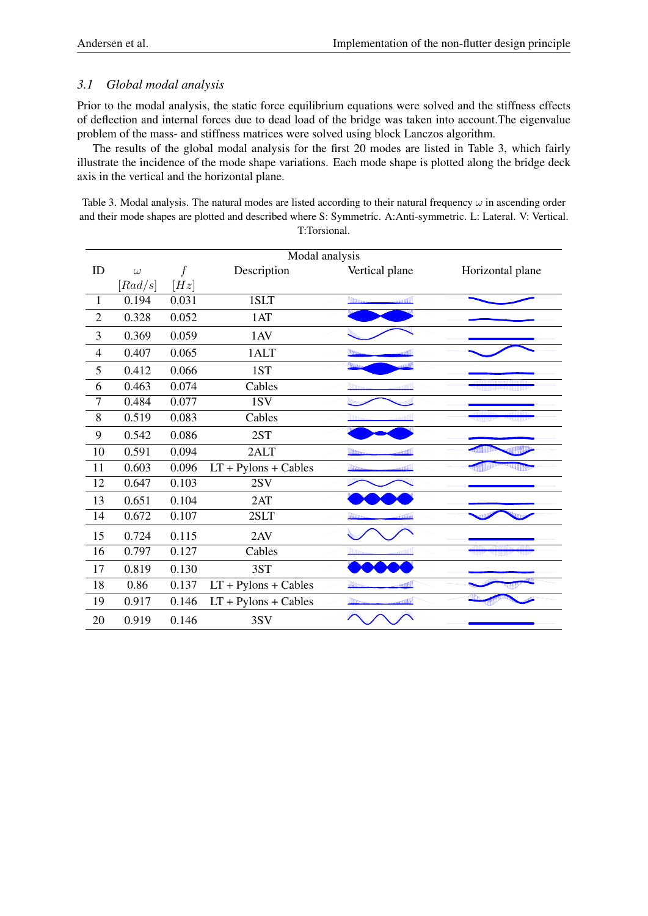## <span id="page-5-0"></span>*3.1 Global modal analysis*

Prior to the modal analysis, the static force equilibrium equations were solved and the stiffness effects of deflection and internal forces due to dead load of the bridge was taken into account.The eigenvalue problem of the mass- and stiffness matrices were solved using block Lanczos algorithm.

The results of the global modal analysis for the first 20 modes are listed in Table [3,](#page-5-1) which fairly illustrate the incidence of the mode shape variations. Each mode shape is plotted along the bridge deck axis in the vertical and the horizontal plane.

<span id="page-5-1"></span>Table 3. Modal analysis. The natural modes are listed according to their natural frequency  $\omega$  in ascending order and their mode shapes are plotted and described where S: Symmetric. A:Anti-symmetric. L: Lateral. V: Vertical. T:Torsional.

|                | Modal analysis |       |                        |                       |                  |  |  |  |  |  |
|----------------|----------------|-------|------------------------|-----------------------|------------------|--|--|--|--|--|
| ID             | $\omega$       | f     | Description            | Vertical plane        | Horizontal plane |  |  |  |  |  |
|                | [Rad/s]        | [Hz]  |                        |                       |                  |  |  |  |  |  |
| $\overline{1}$ | 0.194          | 0.031 | 1SLT                   | اµی.<br><b>In</b>     |                  |  |  |  |  |  |
| $\overline{2}$ | 0.328          | 0.052 | 1AT                    |                       |                  |  |  |  |  |  |
| $\mathfrak{Z}$ | 0.369          | 0.059 | 1AV                    |                       |                  |  |  |  |  |  |
| $\overline{4}$ | 0.407          | 0.065 | 1ALT                   |                       |                  |  |  |  |  |  |
| $\mathfrak s$  | 0.412          | 0.066 | 1ST                    |                       |                  |  |  |  |  |  |
| 6              | 0.463          | 0.074 | Cables                 |                       |                  |  |  |  |  |  |
| $\tau$         | 0.484          | 0.077 | 1SV                    |                       |                  |  |  |  |  |  |
| $\,8\,$        | 0.519          | 0.083 | Cables                 |                       |                  |  |  |  |  |  |
| 9              | 0.542          | 0.086 | 2ST                    |                       |                  |  |  |  |  |  |
| 10             | 0.591          | 0.094 | 2ALT                   |                       |                  |  |  |  |  |  |
| 11             | 0.603          | 0.096 | $LT + Pylons + Cables$ |                       |                  |  |  |  |  |  |
| 12             | 0.647          | 0.103 | 2SV                    |                       |                  |  |  |  |  |  |
| 13             | 0.651          | 0.104 | 2AT                    |                       |                  |  |  |  |  |  |
| 14             | 0.672          | 0.107 | 2SLT                   |                       |                  |  |  |  |  |  |
| 15             | 0.724          | 0.115 | 2AV                    |                       |                  |  |  |  |  |  |
| 16             | 0.797          | 0.127 | Cables                 |                       |                  |  |  |  |  |  |
| 17             | 0.819          | 0.130 | 3ST                    |                       |                  |  |  |  |  |  |
| 18             | 0.86           | 0.137 | $LT + Pylons + Cables$ |                       |                  |  |  |  |  |  |
| 19             | 0.917          | 0.146 | $LT + Pylons + Cables$ | re di l<br><b>The</b> |                  |  |  |  |  |  |
| 20             | 0.919          | 0.146 | 3SV                    |                       |                  |  |  |  |  |  |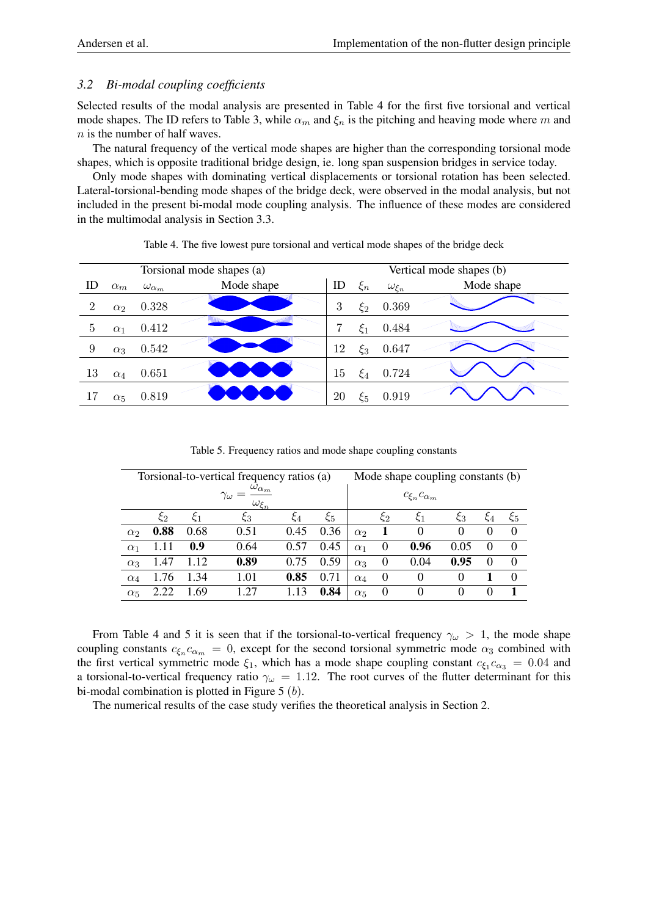## <span id="page-6-0"></span>*3.2 Bi-modal coupling coefficients*

Selected results of the modal analysis are presented in Table [4](#page-6-1) for the first five torsional and vertical mode shapes. The ID refers to Table [3,](#page-5-1) while  $\alpha_m$  and  $\xi_n$  is the pitching and heaving mode where m and n is the number of half waves.

The natural frequency of the vertical mode shapes are higher than the corresponding torsional mode shapes, which is opposite traditional bridge design, ie. long span suspension bridges in service today.

Only mode shapes with dominating vertical displacements or torsional rotation has been selected. Lateral-torsional-bending mode shapes of the bridge deck, were observed in the modal analysis, but not included in the present bi-modal mode coupling analysis. The influence of these modes are considered in the multimodal analysis in Section [3.3.](#page-7-0)

<span id="page-6-1"></span>

|    |            |                     | Torsional mode shapes (a) | Vertical mode shapes (b) |         |                  |            |  |  |
|----|------------|---------------------|---------------------------|--------------------------|---------|------------------|------------|--|--|
| ID | $\alpha_m$ | $\omega_{\alpha_m}$ | Mode shape                | ID                       | $\xi_n$ | $\omega_{\xi_n}$ | Mode shape |  |  |
| 2  | $\alpha_2$ | 0.328               |                           | 3                        | $\xi_2$ | 0.369            |            |  |  |
| 5  | $\alpha_1$ | 0.412               |                           |                          | $\xi_1$ | 0.484            |            |  |  |
| 9  | $\alpha_3$ | 0.542               |                           | 12                       | $\xi_3$ | 0.647            |            |  |  |
| 13 | $\alpha_4$ | 0.651               |                           | 15                       | $\xi_4$ | 0.724            |            |  |  |
|    | $\alpha_5$ | 0.819               |                           | 20                       | $\xi_5$ | 0.919            |            |  |  |

|  |  | Table 4. The five lowest pure torsional and vertical mode shapes of the bridge deck |  |  |  |  |
|--|--|-------------------------------------------------------------------------------------|--|--|--|--|
|  |  |                                                                                     |  |  |  |  |

Table 5. Frequency ratios and mode shape coupling constants

<span id="page-6-2"></span>

| Torsional-to-vertical frequency ratios (a)                 |         |                   |         |      |         |            |          | Mode shape coupling constants (b) |          |          |          |
|------------------------------------------------------------|---------|-------------------|---------|------|---------|------------|----------|-----------------------------------|----------|----------|----------|
| $\omega_{\alpha_m}$<br>$\gamma_\omega$<br>$\omega_{\xi_n}$ |         |                   |         |      |         |            |          | $c_{\xi_n}c_{\alpha_m}$           |          |          |          |
|                                                            | $\xi_2$ | $\mathcal{E}_{1}$ | $\xi_3$ | ζ4   | $\xi_5$ |            | Հշ       |                                   | Հ3       | $\xi_4$  | $\xi_5$  |
| $\alpha_2$                                                 | 0.88    | 0.68              | 0.51    | 0.45 | 0.36    | $\alpha_2$ |          | $\theta$                          | $\theta$ | $\theta$ | $\Omega$ |
| $\alpha_1$                                                 | .11     | 0.9               | 0.64    | 0.57 | 0.45    | $\alpha_1$ | 0        | 0.96                              | 0.05     | $\Omega$ | $\Omega$ |
| $\alpha_3$                                                 | 1.47    | 1.12              | 0.89    | 0.75 | 0.59    | $\alpha_3$ | 0        | 0.04                              | 0.95     | $\Omega$ | $\Omega$ |
| $\alpha_4$                                                 | 1.76    | 1.34              | 1.01    | 0.85 | 0.71    | $\alpha_4$ | $\theta$ | $\Omega$                          | $\theta$ |          | $\Omega$ |
| $\alpha_5$                                                 | 2.22    | 1.69              | 1.27    | 1.13 | 0.84    | $\alpha_5$ | $\theta$ | $\Omega$                          | $\theta$ | $\theta$ |          |

From Table [4](#page-6-1) and [5](#page-6-2) it is seen that if the torsional-to-vertical frequency  $\gamma_{\omega} > 1$ , the mode shape coupling constants  $c_{\xi_n} c_{\alpha_m} = 0$ , except for the second torsional symmetric mode  $\alpha_3$  combined with the first vertical symmetric mode  $\xi_1$ , which has a mode shape coupling constant  $c_{\xi_1} c_{\alpha_3} = 0.04$  and a torsional-to-vertical frequency ratio  $\gamma_{\omega} = 1.12$ . The root curves of the flutter determinant for this bi-modal combination is plotted in Figure [5](#page-8-0) (b).

The numerical results of the case study verifies the theoretical analysis in Section [2.](#page-2-3)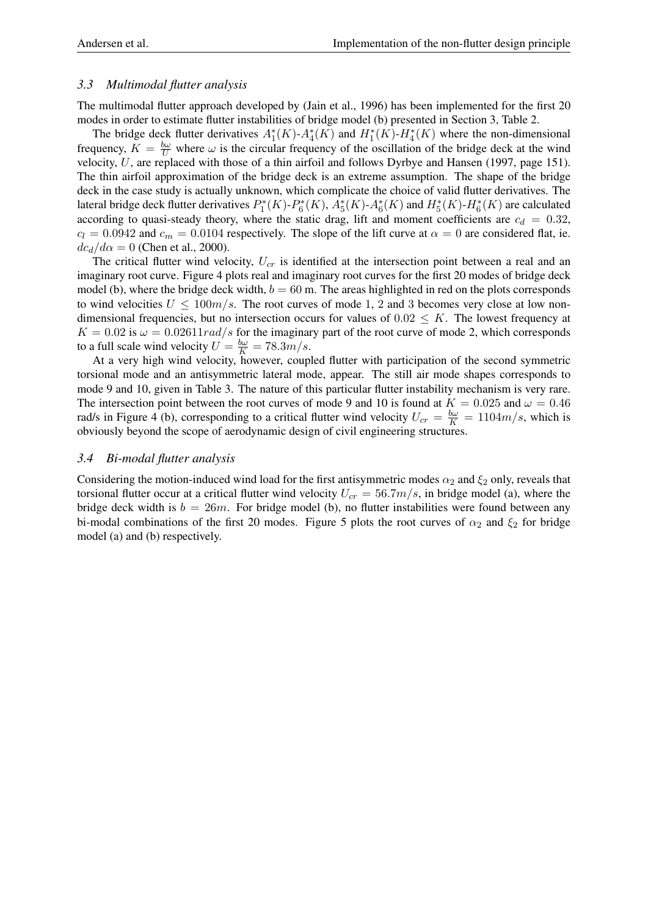### <span id="page-7-0"></span>*3.3 Multimodal flutter analysis*

The multimodal flutter approach developed by (Jain et al., [1996\)](#page-9-9) has been implemented for the first 20 modes in order to estimate flutter instabilities of bridge model (b) presented in Section [3,](#page-3-0) Table [2.](#page-4-0)

The bridge deck flutter derivatives  $A_1^*(K)$ - $A_4^*(K)$  and  $H_1^*(K)$ - $H_4^*(K)$  where the non-dimensional frequency,  $K = \frac{b\omega}{U}$  where  $\omega$  is the circular frequency of the oscillation of the bridge deck at the wind velocity, U, are replaced with those of a thin airfoil and follows Dyrbye and Hansen [\(1997,](#page-9-1) page 151). The thin airfoil approximation of the bridge deck is an extreme assumption. The shape of the bridge deck in the case study is actually unknown, which complicate the choice of valid flutter derivatives. The lateral bridge deck flutter derivatives  $P_1^*(K)$ - $P_6^*(K)$ ,  $A_5^*(K)$ - $A_6^*(K)$  and  $H_5^*(K)$ - $H_6^*(K)$  are calculated according to quasi-steady theory, where the static drag, lift and moment coefficients are  $c_d = 0.32$ ,  $c_l = 0.0942$  and  $c_m = 0.0104$  respectively. The slope of the lift curve at  $\alpha = 0$  are considered flat, ie.  $dc_d/d\alpha = 0$  (Chen et al., [2000\)](#page-9-10).

The critical flutter wind velocity,  $U_{cr}$  is identified at the intersection point between a real and an imaginary root curve. Figure [4](#page-8-1) plots real and imaginary root curves for the first 20 modes of bridge deck model (b), where the bridge deck width,  $b = 60$  m. The areas highlighted in red on the plots corresponds to wind velocities  $U \le 100m/s$ . The root curves of mode 1, 2 and 3 becomes very close at low nondimensional frequencies, but no intersection occurs for values of  $0.02 \leq K$ . The lowest frequency at  $K = 0.02$  is  $\omega = 0.02611 rad/s$  for the imaginary part of the root curve of mode 2, which corresponds to a full scale wind velocity  $U = \frac{b\omega}{K} = 78.3 \text{m/s}.$ 

At a very high wind velocity, however, coupled flutter with participation of the second symmetric torsional mode and an antisymmetric lateral mode, appear. The still air mode shapes corresponds to mode 9 and 10, given in Table [3.](#page-5-1) The nature of this particular flutter instability mechanism is very rare. The intersection point between the root curves of mode 9 and 10 is found at  $K = 0.025$  and  $\omega = 0.46$ rad/s in Figure [4](#page-8-1) (b), corresponding to a critical flutter wind velocity  $U_{cr} = \frac{b\omega}{K} = 1104m/s$ , which is obviously beyond the scope of aerodynamic design of civil engineering structures.

### *3.4 Bi-modal flutter analysis*

Considering the motion-induced wind load for the first antisymmetric modes  $\alpha_2$  and  $\xi_2$  only, reveals that torsional flutter occur at a critical flutter wind velocity  $U_{cr} = 56.7m/s$ , in bridge model (a), where the bridge deck width is  $b = 26m$ . For bridge model (b), no flutter instabilities were found between any bi-modal combinations of the first 20 modes. Figure [5](#page-8-0) plots the root curves of  $\alpha_2$  and  $\xi_2$  for bridge model (a) and (b) respectively.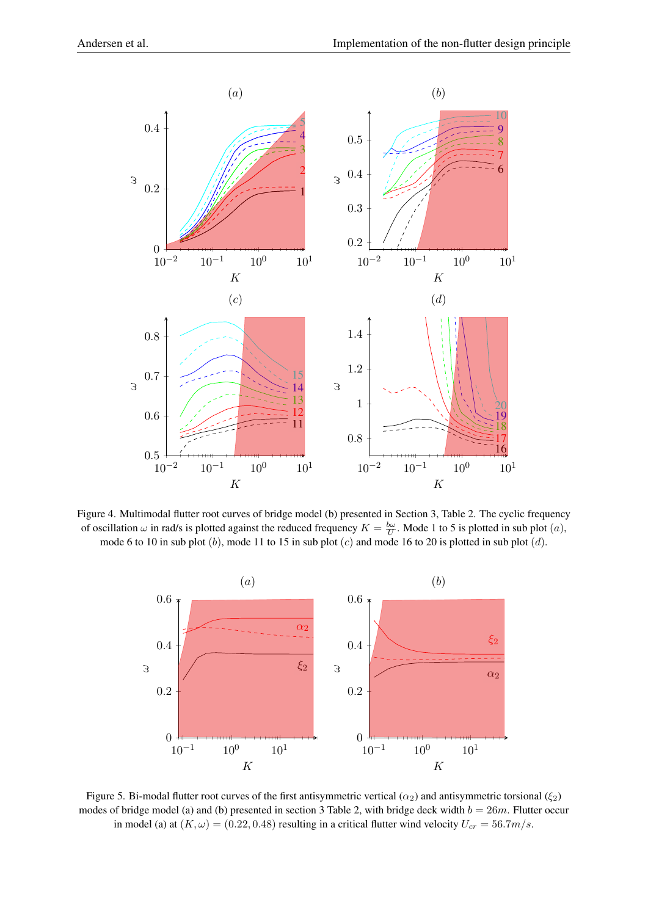<span id="page-8-1"></span>

Figure 4. Multimodal flutter root curves of bridge model (b) presented in Section [3,](#page-3-0) Table [2.](#page-4-0) The cyclic frequency of oscillation  $\omega$  in rad/s is plotted against the reduced frequency  $K = \frac{b\omega}{U}$ . Mode 1 to 5 is plotted in sub plot  $(a)$ , mode 6 to 10 in sub plot  $(b)$ , mode 11 to 15 in sub plot  $(c)$  and mode 16 to 20 is plotted in sub plot  $(d)$ .

<span id="page-8-0"></span>

Figure 5. Bi-modal flutter root curves of the first antisymmetric vertical ( $\alpha_2$ ) and antisymmetric torsional ( $\xi_2$ ) modes of bridge model (a) and (b) presented in section [3](#page-3-0) Table [2,](#page-4-0) with bridge deck width  $b = 26m$ . Flutter occur in model (a) at  $(K, \omega) = (0.22, 0.48)$  resulting in a critical flutter wind velocity  $U_{cr} = 56.7 m/s$ .